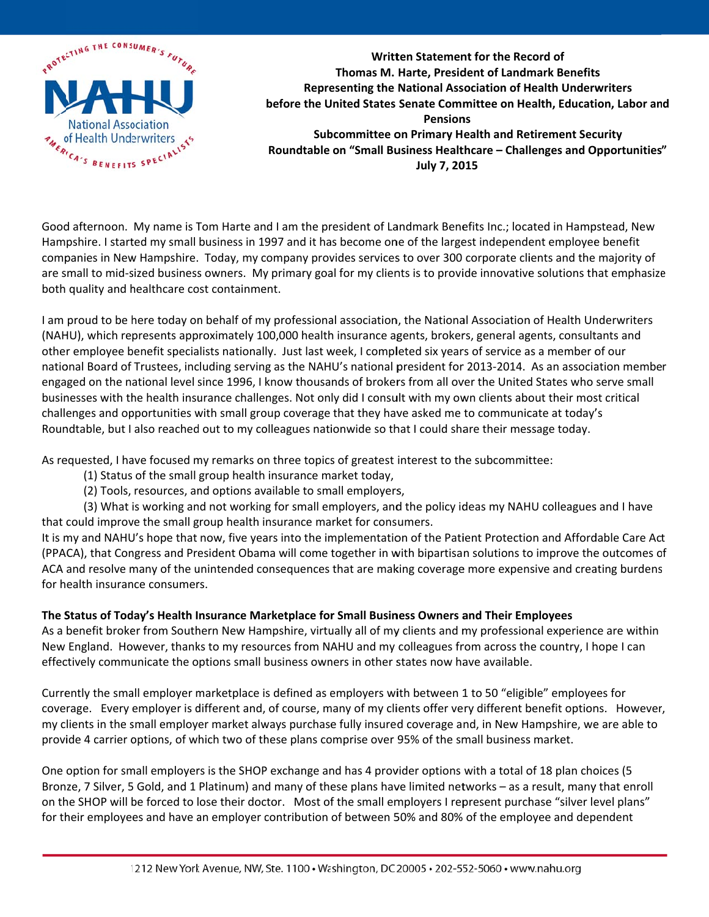

Written Statement for the Record of Thomas M. Harte. President of Landmark Benefits Representing the National Association of Health Underwriters before the United States Senate Committee on Health, Education, Labor and **Pensions Subcommittee on Primary Health and Retirement Security** Roundtable on "Small Business Healthcare - Challenges and Opportunities" July 7, 2015

Good afternoon. My name is Tom Harte and I am the president of Landmark Benefits Inc.; located in Hampstead, New Hampshire. I started my small business in 1997 and it has become one of the largest independent employee benefit companies in New Hampshire. Today, my company provides services to over 300 corporate clients and the majority of are small to mid-sized business owners. My primary goal for my clients is to provide innovative solutions that emphasize both quality and healthcare cost containment.

I am proud to be here today on behalf of my professional association, the National Association of Health Underwriters (NAHU), which represents approximately 100,000 health insurance agents, brokers, general agents, consultants and other employee benefit specialists nationally. Just last week, I completed six years of service as a member of our national Board of Trustees, including serving as the NAHU's national president for 2013-2014. As an association member engaged on the national level since 1996, I know thousands of brokers from all over the United States who serve small businesses with the health insurance challenges. Not only did I consult with my own clients about their most critical challenges and opportunities with small group coverage that they have asked me to communicate at today's Roundtable, but I also reached out to my colleagues nationwide so that I could share their message today.

As requested, I have focused my remarks on three topics of greatest interest to the subcommittee:

- (1) Status of the small group health insurance market today,
- (2) Tools, resources, and options available to small employers,

(3) What is working and not working for small employers, and the policy ideas my NAHU colleagues and I have that could improve the small group health insurance market for consumers.

It is my and NAHU's hope that now, five years into the implementation of the Patient Protection and Affordable Care Act (PPACA), that Congress and President Obama will come together in with bipartisan solutions to improve the outcomes of ACA and resolve many of the unintended consequences that are making coverage more expensive and creating burdens for health insurance consumers.

## The Status of Today's Health Insurance Marketplace for Small Business Owners and Their Employees

As a benefit broker from Southern New Hampshire, virtually all of my clients and my professional experience are within New England. However, thanks to my resources from NAHU and my colleagues from across the country, I hope I can effectively communicate the options small business owners in other states now have available.

Currently the small employer marketplace is defined as employers with between 1 to 50 "eligible" employees for coverage. Every employer is different and, of course, many of my clients offer very different benefit options. However, my clients in the small employer market always purchase fully insured coverage and, in New Hampshire, we are able to provide 4 carrier options, of which two of these plans comprise over 95% of the small business market.

One option for small employers is the SHOP exchange and has 4 provider options with a total of 18 plan choices (5 Bronze, 7 Silver, 5 Gold, and 1 Platinum) and many of these plans have limited networks - as a result, many that enroll on the SHOP will be forced to lose their doctor. Most of the small employers I represent purchase "silver level plans" for their employees and have an employer contribution of between 50% and 80% of the employee and dependent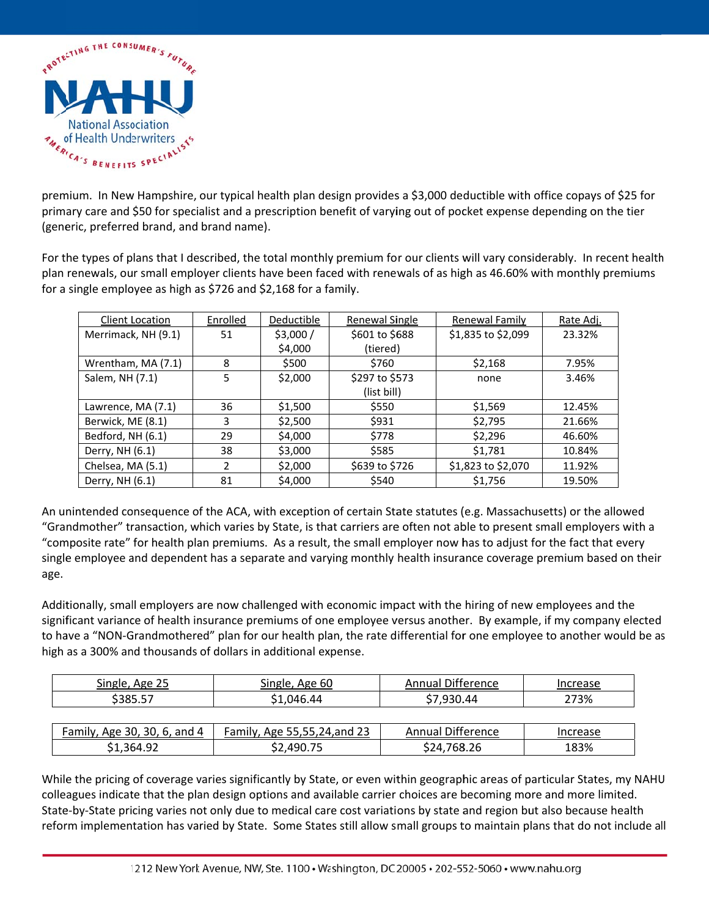

premium. In New Hampshire, our typical health plan design provides a \$3,000 deductible with office copays of \$25 for primary care and \$50 for specialist and a prescription benefit of varying out of pocket expense depending on the tier (generic, preferred brand, and brand name).

For the types of plans that I described, the total monthly premium for our clients will vary considerably. In recent health plan renewals, our small employer clients have been faced with renewals of as high as 46.60% with monthly premiums for a single employee as high as \$726 and \$2,168 for a family.

| Client Location     | Enrolled | Deductible | Renewal Single | Renewal Family     | Rate Adj. |
|---------------------|----------|------------|----------------|--------------------|-----------|
| Merrimack, NH (9.1) | 51       | \$3,000/   | \$601 to \$688 | \$1,835 to \$2,099 | 23.32%    |
|                     |          | \$4,000    | (tiered)       |                    |           |
| Wrentham, MA (7.1)  | 8        | \$500      | \$760          | \$2,168            | 7.95%     |
| Salem, NH (7.1)     | 5        | \$2,000    | \$297 to \$573 | none               | 3.46%     |
|                     |          |            | (list bill)    |                    |           |
| Lawrence, MA (7.1)  | 36       | \$1,500    | \$550          | \$1,569            | 12.45%    |
| Berwick, ME (8.1)   | 3        | \$2,500    | \$931          | \$2,795            | 21.66%    |
| Bedford, NH (6.1)   | 29       | \$4,000    | \$778          | \$2,296            | 46.60%    |
| Derry, NH (6.1)     | 38       | \$3,000    | \$585          | \$1,781            | 10.84%    |
| Chelsea, MA (5.1)   | 2        | \$2,000    | \$639 to \$726 | \$1,823 to \$2,070 | 11.92%    |
| Derry, NH (6.1)     | 81       | \$4,000    | \$540          | \$1,756            | 19.50%    |

An unintended consequence of the ACA, with exception of certain State statutes (e.g. Massachusetts) or the allowed "Grandmother" transaction, which varies by State, is that carriers are often not able to present small employers with a "composite rate" for health plan premiums. As a result, the small employer now has to adjust for the fact that every single employee and dependent has a separate and varying monthly health insurance coverage premium based on their age.

Additionally, small employers are now challenged with economic impact with the hiring of new employees and the significant variance of health insurance premiums of one employee versus another. By example, if my company elected to have a "NON-Grandmothered" plan for our health plan, the rate differential for one employee to another would be as high as a 300% and thousands of dollars in additional expense.

| Single, Age 25               | Single, Age 60               | Annual Difference        | Increase |
|------------------------------|------------------------------|--------------------------|----------|
| \$385.57                     | \$1,046.44                   | \$7,930.44               | 273%     |
|                              |                              |                          |          |
| Family, Age 30, 30, 6, and 4 | Family, Age 55,55,24, and 23 | <b>Annual Difference</b> | Increase |
| S <sub>1</sub> .364.92       | S <sub>2.490.75</sub>        | \$24,768.26              | 183%     |

While the pricing of coverage varies significantly by State, or even within geographic areas of particular States, my NAHU colleagues indicate that the plan design options and available carrier choices are becoming more and more limited. State-by-State pricing varies not only due to medical care cost variations by state and region but also because health reform implementation has varied by State. Some States still allow small groups to maintain plans that do not include all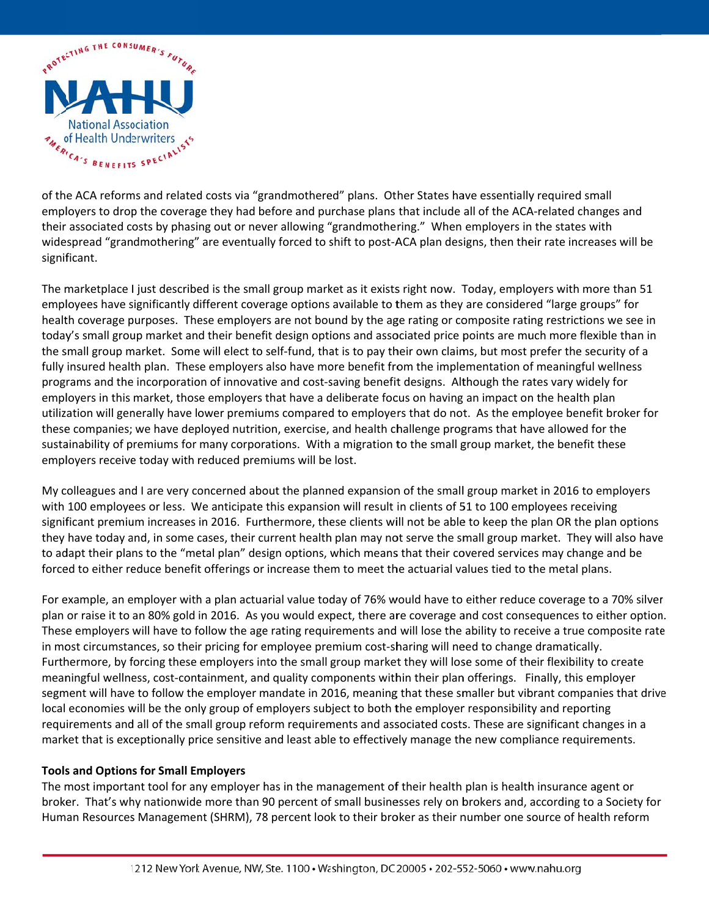

of the ACA reforms and related costs via "grandmothered" plans. Other States have essentially required small employers to drop the coverage they had before and purchase plans that include all of the ACA-related changes and their associated costs by phasing out or never allowing "grandmothering." When employers in the states with widespread "grandmothering" are eventually forced to shift to post-ACA plan designs, then their rate increases will be significant.

The marketplace I just described is the small group market as it exists right now. Today, employers with more than 51 employees have significantly different coverage options available to them as they are considered "large groups" for health coverage purposes. These employers are not bound by the age rating or composite rating restrictions we see in today's small group market and their benefit design options and associated price points are much more flexible than in the small group market. Some will elect to self-fund, that is to pay their own claims, but most prefer the security of a fully insured health plan. These employers also have more benefit from the implementation of meaningful wellness programs and the incorporation of innovative and cost-saving benefit designs. Although the rates vary widely for employers in this market, those employers that have a deliberate focus on having an impact on the health plan utilization will generally have lower premiums compared to employers that do not. As the employee benefit broker for these companies; we have deployed nutrition, exercise, and health challenge programs that have allowed for the sustainability of premiums for many corporations. With a migration to the small group market, the benefit these employers receive today with reduced premiums will be lost.

My colleagues and I are very concerned about the planned expansion of the small group market in 2016 to employers with 100 employees or less. We anticipate this expansion will result in clients of 51 to 100 employees receiving significant premium increases in 2016. Furthermore, these clients will not be able to keep the plan OR the plan options they have today and, in some cases, their current health plan may not serve the small group market. They will also have to adapt their plans to the "metal plan" design options, which means that their covered services may change and be forced to either reduce benefit offerings or increase them to meet the actuarial values tied to the metal plans.

For example, an employer with a plan actuarial value today of 76% would have to either reduce coverage to a 70% silver plan or raise it to an 80% gold in 2016. As you would expect, there are coverage and cost consequences to either option. These employers will have to follow the age rating requirements and will lose the ability to receive a true composite rate in most circumstances, so their pricing for employee premium cost-sharing will need to change dramatically. Furthermore, by forcing these employers into the small group market they will lose some of their flexibility to create meaningful wellness, cost-containment, and quality components within their plan offerings. Finally, this employer segment will have to follow the employer mandate in 2016, meaning that these smaller but vibrant companies that drive local economies will be the only group of employers subject to both the employer responsibility and reporting requirements and all of the small group reform requirements and associated costs. These are significant changes in a market that is exceptionally price sensitive and least able to effectively manage the new compliance requirements.

## **Tools and Options for Small Employers**

The most important tool for any employer has in the management of their health plan is health insurance agent or broker. That's why nationwide more than 90 percent of small businesses rely on brokers and, according to a Society for Human Resources Management (SHRM), 78 percent look to their broker as their number one source of health reform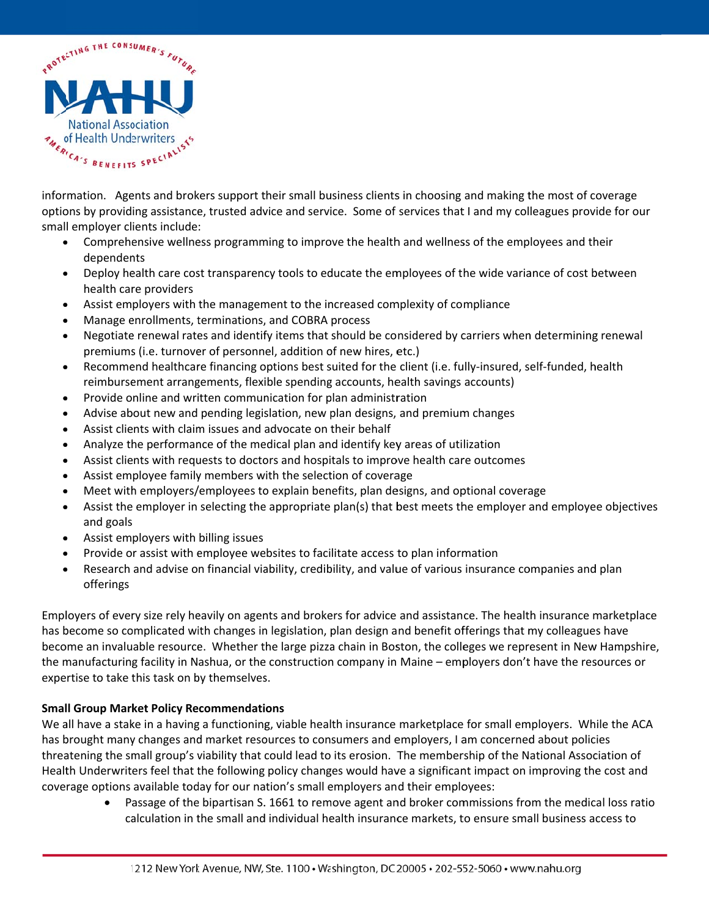

information. Agents and brokers support their small business clients in choosing and making the most of coverage options by providing assistance, trusted advice and service. Some of services that I and my colleagues provide for our small employer clients include:

- $\bullet$ Comprehensive wellness programming to improve the health and wellness of the employees and their dependents
- Deploy health care cost transparency tools to educate the employees of the wide variance of cost between  $\bullet$ health care providers
- Assist employers with the management to the increased complexity of compliance
- Manage enrollments, terminations, and COBRA process
- Negotiate renewal rates and identify items that should be considered by carriers when determining renewal premiums (i.e. turnover of personnel, addition of new hires, etc.)
- Recommend healthcare financing options best suited for the client (i.e. fully-insured, self-funded, health  $\bullet$ reimbursement arrangements, flexible spending accounts, health savings accounts)
- Provide online and written communication for plan administration  $\bullet$
- Advise about new and pending legislation, new plan designs, and premium changes
- Assist clients with claim issues and advocate on their behalf
- Analyze the performance of the medical plan and identify key areas of utilization
- Assist clients with requests to doctors and hospitals to improve health care outcomes
- Assist employee family members with the selection of coverage
- Meet with employers/employees to explain benefits, plan designs, and optional coverage
- Assist the employer in selecting the appropriate plan(s) that best meets the employer and employee objectives and goals
- Assist employers with billing issues
- Provide or assist with employee websites to facilitate access to plan information
- Research and advise on financial viability, credibility, and value of various insurance companies and plan  $\bullet$ offerings

Employers of every size rely heavily on agents and brokers for advice and assistance. The health insurance marketplace has become so complicated with changes in legislation, plan design and benefit offerings that my colleagues have become an invaluable resource. Whether the large pizza chain in Boston, the colleges we represent in New Hampshire, the manufacturing facility in Nashua, or the construction company in Maine - employers don't have the resources or expertise to take this task on by themselves.

## **Small Group Market Policy Recommendations**

We all have a stake in a having a functioning, viable health insurance marketplace for small employers. While the ACA has brought many changes and market resources to consumers and employers, I am concerned about policies threatening the small group's viability that could lead to its erosion. The membership of the National Association of Health Underwriters feel that the following policy changes would have a significant impact on improving the cost and coverage options available today for our nation's small employers and their employees:

> $\bullet$ Passage of the bipartisan S. 1661 to remove agent and broker commissions from the medical loss ratio calculation in the small and individual health insurance markets, to ensure small business access to